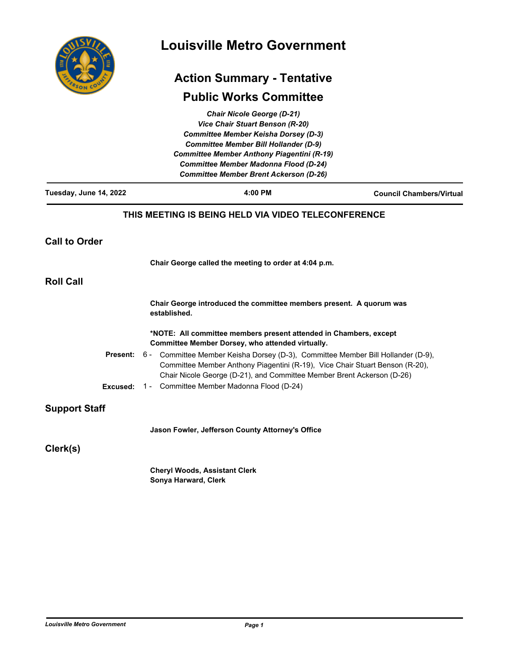| COUN<br>FRSOT |
|---------------|

# **Louisville Metro Government**

### **Action Summary - Tentative**

## **Public Works Committee**

|                        | <b>Chair Nicole George (D-21)</b>                                                                                                                                                                                                          |                                 |
|------------------------|--------------------------------------------------------------------------------------------------------------------------------------------------------------------------------------------------------------------------------------------|---------------------------------|
|                        | <b>Vice Chair Stuart Benson (R-20)</b>                                                                                                                                                                                                     |                                 |
|                        | <b>Committee Member Keisha Dorsey (D-3)</b>                                                                                                                                                                                                |                                 |
|                        | <b>Committee Member Bill Hollander (D-9)</b>                                                                                                                                                                                               |                                 |
|                        | <b>Committee Member Anthony Piagentini (R-19)</b>                                                                                                                                                                                          |                                 |
|                        | <b>Committee Member Madonna Flood (D-24)</b>                                                                                                                                                                                               |                                 |
|                        | <b>Committee Member Brent Ackerson (D-26)</b>                                                                                                                                                                                              |                                 |
| Tuesday, June 14, 2022 | 4:00 PM                                                                                                                                                                                                                                    | <b>Council Chambers/Virtual</b> |
|                        | THIS MEETING IS BEING HELD VIA VIDEO TELECONFERENCE                                                                                                                                                                                        |                                 |
| <b>Call to Order</b>   |                                                                                                                                                                                                                                            |                                 |
|                        | Chair George called the meeting to order at 4:04 p.m.                                                                                                                                                                                      |                                 |
| <b>Roll Call</b>       |                                                                                                                                                                                                                                            |                                 |
|                        | Chair George introduced the committee members present. A quorum was<br>established.                                                                                                                                                        |                                 |
|                        | *NOTE: All committee members present attended in Chambers, except<br>Committee Member Dorsey, who attended virtually.                                                                                                                      |                                 |
| <b>Present:</b>        | 6 - Committee Member Keisha Dorsey (D-3), Committee Member Bill Hollander (D-9),<br>Committee Member Anthony Piagentini (R-19), Vice Chair Stuart Benson (R-20),<br>Chair Nicole George (D-21), and Committee Member Brent Ackerson (D-26) |                                 |
| Excused:               | 1 - Committee Member Madonna Flood (D-24)                                                                                                                                                                                                  |                                 |
| <b>Support Staff</b>   |                                                                                                                                                                                                                                            |                                 |
|                        | Jason Fowler, Jefferson County Attorney's Office                                                                                                                                                                                           |                                 |
| Clerk(s)               |                                                                                                                                                                                                                                            |                                 |
|                        | <b>Cheryl Woods, Assistant Clerk</b>                                                                                                                                                                                                       |                                 |
|                        | Sonya Harward, Clerk                                                                                                                                                                                                                       |                                 |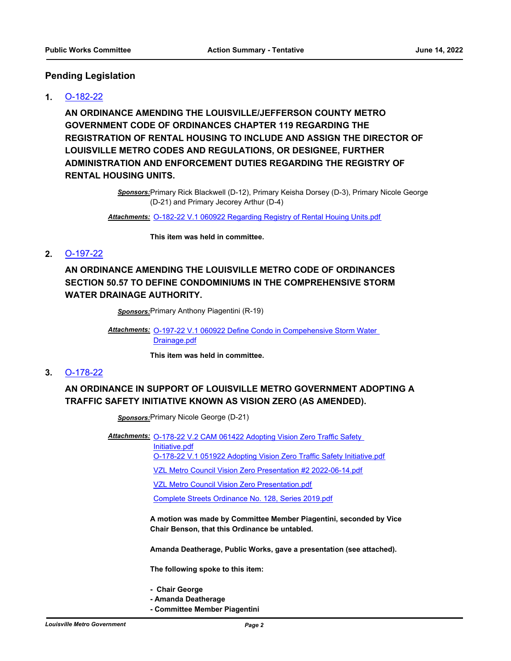#### **Pending Legislation**

#### **1.** [O-182-22](http://louisville.legistar.com/gateway.aspx?m=l&id=/matter.aspx?key=60374)

**AN ORDINANCE AMENDING THE LOUISVILLE/JEFFERSON COUNTY METRO GOVERNMENT CODE OF ORDINANCES CHAPTER 119 REGARDING THE REGISTRATION OF RENTAL HOUSING TO INCLUDE AND ASSIGN THE DIRECTOR OF LOUISVILLE METRO CODES AND REGULATIONS, OR DESIGNEE, FURTHER ADMINISTRATION AND ENFORCEMENT DUTIES REGARDING THE REGISTRY OF RENTAL HOUSING UNITS.**

> *Sponsors:*Primary Rick Blackwell (D-12), Primary Keisha Dorsey (D-3), Primary Nicole George (D-21) and Primary Jecorey Arthur (D-4)

*Attachments:* [O-182-22 V.1 060922 Regarding Registry of Rental Houing Units.pdf](http://louisville.legistar.com/gateway.aspx?M=F&ID=c30411b1-f754-4c89-8ad4-5e95a981ace4.pdf)

**This item was held in committee.**

#### **2.** [O-197-22](http://louisville.legistar.com/gateway.aspx?m=l&id=/matter.aspx?key=60672)

**AN ORDINANCE AMENDING THE LOUISVILLE METRO CODE OF ORDINANCES SECTION 50.57 TO DEFINE CONDOMINIUMS IN THE COMPREHENSIVE STORM WATER DRAINAGE AUTHORITY.**

*Sponsors:*Primary Anthony Piagentini (R-19)

Attachments: **O-197-22 V.1 060922 Define Condo in Compehensive Storm Water** Drainage.pdf

**This item was held in committee.**

#### **3.** [O-178-22](http://louisville.legistar.com/gateway.aspx?m=l&id=/matter.aspx?key=60291)

### **AN ORDINANCE IN SUPPORT OF LOUISVILLE METRO GOVERNMENT ADOPTING A TRAFFIC SAFETY INITIATIVE KNOWN AS VISION ZERO (AS AMENDED).**

*Sponsors:*Primary Nicole George (D-21)

Attachments: O-178-22 V.2 CAM 061422 Adopting Vision Zero Traffic Safety

Initiative.pdf

[O-178-22 V.1 051922 Adopting Vision Zero Traffic Safety Initiative.pdf](http://louisville.legistar.com/gateway.aspx?M=F&ID=9a14cea8-760b-46e6-977f-8f1298e6491c.pdf)

[VZL Metro Council Vision Zero Presentation #2 2022-06-14.pdf](http://louisville.legistar.com/gateway.aspx?M=F&ID=7fcc7c20-f018-4b9d-a08b-d9d5c2e98164.pdf)

[VZL Metro Council Vision Zero Presentation.pdf](http://louisville.legistar.com/gateway.aspx?M=F&ID=1c342017-aef0-4088-9fac-3bc912c61245.pdf)

[Complete Streets Ordinance No. 128, Series 2019.pdf](http://louisville.legistar.com/gateway.aspx?M=F&ID=6f5c0fd0-2a84-46c0-8060-f26df2db0eab.pdf)

**A motion was made by Committee Member Piagentini, seconded by Vice Chair Benson, that this Ordinance be untabled.**

**Amanda Deatherage, Public Works, gave a presentation (see attached).**

**The following spoke to this item:**

- **Chair George**
- **Amanda Deatherage**
- **Committee Member Piagentini**